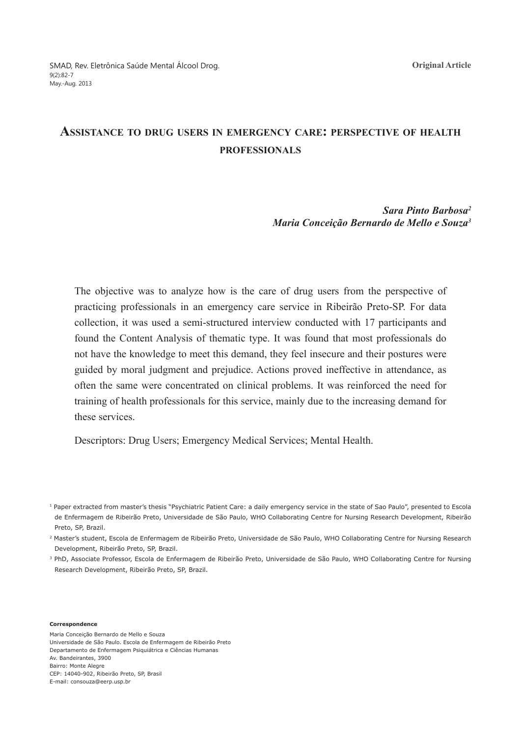# **Assistance to drug users in emergency care: perspective of health professionals**

## *Sara Pinto Barbosa2 Maria Conceição Bernardo de Mello e Souza3*

The objective was to analyze how is the care of drug users from the perspective of practicing professionals in an emergency care service in Ribeirão Preto-SP. For data collection, it was used a semi-structured interview conducted with 17 participants and found the Content Analysis of thematic type. It was found that most professionals do not have the knowledge to meet this demand, they feel insecure and their postures were guided by moral judgment and prejudice. Actions proved ineffective in attendance, as often the same were concentrated on clinical problems. It was reinforced the need for training of health professionals for this service, mainly due to the increasing demand for these services.

Descriptors: Drug Users; Emergency Medical Services; Mental Health.

<sup>2</sup> Master's student, Escola de Enfermagem de Ribeirão Preto, Universidade de São Paulo, WHO Collaborating Centre for Nursing Research Development, Ribeirão Preto, SP, Brazil.

<sup>3</sup> PhD, Associate Professor, Escola de Enfermagem de Ribeirão Preto, Universidade de São Paulo, WHO Collaborating Centre for Nursing Research Development, Ribeirão Preto, SP, Brazil.

**Correspondence**

<sup>1</sup> Paper extracted from master's thesis "Psychiatric Patient Care: a daily emergency service in the state of Sao Paulo", presented to Escola de Enfermagem de Ribeirão Preto, Universidade de São Paulo, WHO Collaborating Centre for Nursing Research Development, Ribeirão Preto, SP, Brazil.

Maria Conceição Bernardo de Mello e Souza Universidade de São Paulo. Escola de Enfermagem de Ribeirão Preto Departamento de Enfermagem Psiquiátrica e Ciências Humanas Av. Bandeirantes, 3900 Bairro: Monte Alegre CEP: 14040-902, Ribeirão Preto, SP, Brasil E-mail: consouza@eerp.usp.br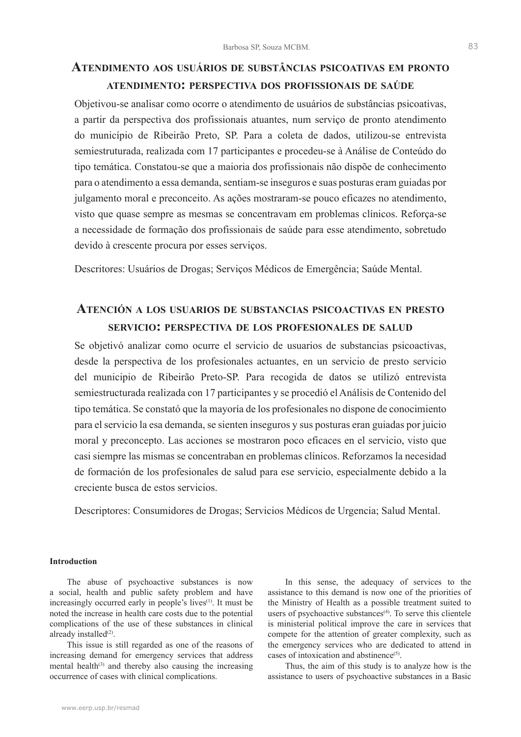## **Atendimento aos usuários de substâncias psicoativas em pronto atendimento: perspectiva dos profissionais de saúde**

Objetivou-se analisar como ocorre o atendimento de usuários de substâncias psicoativas, a partir da perspectiva dos profissionais atuantes, num serviço de pronto atendimento do município de Ribeirão Preto, SP. Para a coleta de dados, utilizou-se entrevista semiestruturada, realizada com 17 participantes e procedeu-se à Análise de Conteúdo do tipo temática. Constatou-se que a maioria dos profissionais não dispõe de conhecimento para o atendimento a essa demanda, sentiam-se inseguros e suas posturas eram guiadas por julgamento moral e preconceito. As ações mostraram-se pouco eficazes no atendimento, visto que quase sempre as mesmas se concentravam em problemas clínicos. Reforça-se a necessidade de formação dos profissionais de saúde para esse atendimento, sobretudo devido à crescente procura por esses serviços.

Descritores: Usuários de Drogas; Serviços Médicos de Emergência; Saúde Mental.

# **Atención <sup>a</sup> los usuarios de substancias psicoactivas en presto servicio: perspectiva de los profesionales de salud**

Se objetivó analizar como ocurre el servicio de usuarios de substancias psicoactivas, desde la perspectiva de los profesionales actuantes, en un servicio de presto servicio del municipio de Ribeirão Preto-SP. Para recogida de datos se utilizó entrevista semiestructurada realizada con 17 participantes y se procedió el Análisis de Contenido del tipo temática. Se constató que la mayoría de los profesionales no dispone de conocimiento para el servicio la esa demanda, se sienten inseguros y sus posturas eran guiadas por juicio moral y preconcepto. Las acciones se mostraron poco eficaces en el servicio, visto que casi siempre las mismas se concentraban en problemas clínicos. Reforzamos la necesidad de formación de los profesionales de salud para ese servicio, especialmente debido a la creciente busca de estos servicios.

Descriptores: Consumidores de Drogas; Servicios Médicos de Urgencia; Salud Mental.

## **Introduction**

The abuse of psychoactive substances is now a social, health and public safety problem and have increasingly occurred early in people's lives<sup>(1)</sup>. It must be noted the increase in health care costs due to the potential complications of the use of these substances in clinical already installed<sup>(2)</sup>.

This issue is still regarded as one of the reasons of increasing demand for emergency services that address mental health<sup>(3)</sup> and thereby also causing the increasing occurrence of cases with clinical complications.

In this sense, the adequacy of services to the assistance to this demand is now one of the priorities of the Ministry of Health as a possible treatment suited to users of psychoactive substances<sup> $(4)$ </sup>. To serve this clientele is ministerial political improve the care in services that compete for the attention of greater complexity, such as the emergency services who are dedicated to attend in cases of intoxication and abstinence<sup>(5)</sup>.

Thus, the aim of this study is to analyze how is the assistance to users of psychoactive substances in a Basic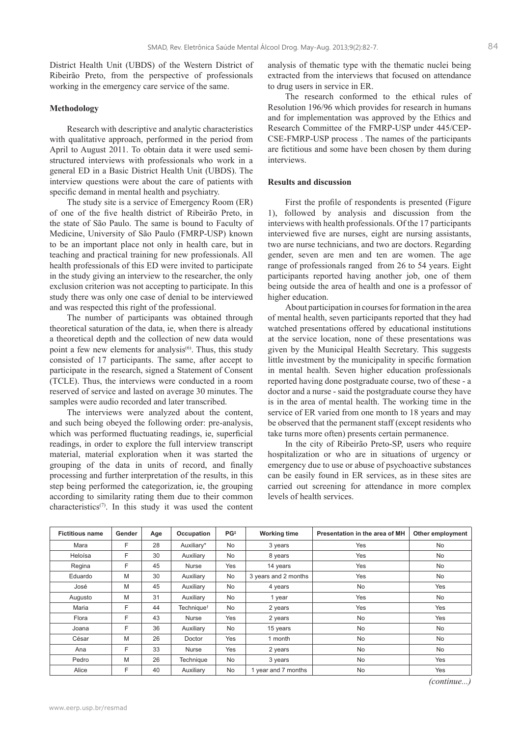District Health Unit (UBDS) of the Western District of Ribeirão Preto, from the perspective of professionals working in the emergency care service of the same.

### **Methodology**

Research with descriptive and analytic characteristics with qualitative approach, performed in the period from April to August 2011. To obtain data it were used semistructured interviews with professionals who work in a general ED in a Basic District Health Unit (UBDS). The interview questions were about the care of patients with specific demand in mental health and psychiatry.

The study site is a service of Emergency Room (ER) of one of the five health district of Ribeirão Preto, in the state of São Paulo. The same is bound to Faculty of Medicine, University of São Paulo (FMRP-USP) known to be an important place not only in health care, but in teaching and practical training for new professionals. All health professionals of this ED were invited to participate in the study giving an interview to the researcher, the only exclusion criterion was not accepting to participate. In this study there was only one case of denial to be interviewed and was respected this right of the professional.

The number of participants was obtained through theoretical saturation of the data, ie, when there is already a theoretical depth and the collection of new data would point a few new elements for analysis<sup>(6)</sup>. Thus, this study consisted of 17 participants. The same, after accept to participate in the research, signed a Statement of Consent (TCLE). Thus, the interviews were conducted in a room reserved of service and lasted on average 30 minutes. The samples were audio recorded and later transcribed.

The interviews were analyzed about the content, and such being obeyed the following order: pre-analysis, which was performed fluctuating readings, ie, superficial readings, in order to explore the full interview transcript material, material exploration when it was started the grouping of the data in units of record, and finally processing and further interpretation of the results, in this step being performed the categorization, ie, the grouping according to similarity rating them due to their common characteristics<sup> $(7)$ </sup>. In this study it was used the content

analysis of thematic type with the thematic nuclei being extracted from the interviews that focused on attendance to drug users in service in ER.

The research conformed to the ethical rules of Resolution 196/96 which provides for research in humans and for implementation was approved by the Ethics and Research Committee of the FMRP-USP under 445/CEP-CSE-FMRP-USP process . The names of the participants are fictitious and some have been chosen by them during interviews.

### **Results and discussion**

First the profile of respondents is presented (Figure 1), followed by analysis and discussion from the interviews with health professionals. Of the 17 participants interviewed five are nurses, eight are nursing assistants, two are nurse technicians, and two are doctors. Regarding gender, seven are men and ten are women. The age range of professionals ranged from 26 to 54 years. Eight participants reported having another job, one of them being outside the area of health and one is a professor of higher education.

About participation in courses for formation in the area of mental health, seven participants reported that they had watched presentations offered by educational institutions at the service location, none of these presentations was given by the Municipal Health Secretary. This suggests little investment by the municipality in specific formation in mental health. Seven higher education professionals reported having done postgraduate course, two of these - a doctor and a nurse - said the postgraduate course they have is in the area of mental health. The working time in the service of ER varied from one month to 18 years and may be observed that the permanent staff (except residents who take turns more often) presents certain permanence.

In the city of Ribeirão Preto-SP, users who require hospitalization or who are in situations of urgency or emergency due to use or abuse of psychoactive substances can be easily found in ER services, as in these sites are carried out screening for attendance in more complex levels of health services.

| <b>Fictitious name</b> | Gender | Age | Occupation             | $PG+$     | <b>Working time</b>  | Presentation in the area of MH | Other employment |
|------------------------|--------|-----|------------------------|-----------|----------------------|--------------------------------|------------------|
| Mara                   | F      | 28  | Auxiliary*             | <b>No</b> | 3 years              | Yes                            | <b>No</b>        |
| Heloísa                | F      | 30  | Auxiliary              | <b>No</b> | 8 years              | Yes                            | No.              |
| Regina                 | F      | 45  | <b>Nurse</b>           | Yes       | 14 years             | Yes                            | <b>No</b>        |
| Eduardo                | M      | 30  | Auxiliary              | No        | 3 years and 2 months | Yes                            | <b>No</b>        |
| José                   | M      | 45  | Auxiliary              | <b>No</b> | 4 years              | No.                            | Yes              |
| Augusto                | M      | 31  | Auxiliary              | <b>No</b> | 1 year               | Yes                            | No.              |
| Maria                  | F      | 44  | Technique <sup>†</sup> | No        | 2 years              | Yes                            | Yes              |
| Flora                  | F      | 43  | Nurse                  | Yes       | 2 years              | No                             | Yes              |
| Joana                  | F      | 36  | Auxiliary              | <b>No</b> | 15 years             | No.                            | No.              |
| César                  | M      | 26  | Doctor                 | Yes       | 1 month              | <b>No</b>                      | <b>No</b>        |
| Ana                    | F      | 33  | Nurse                  | Yes       | 2 years              | <b>No</b>                      | No.              |
| Pedro                  | M      | 26  | <b>Technique</b>       | <b>No</b> | 3 years              | No.                            | Yes              |
| Alice                  | F      | 40  | Auxiliary              | No.       | 1 year and 7 months  | <b>No</b>                      | Yes              |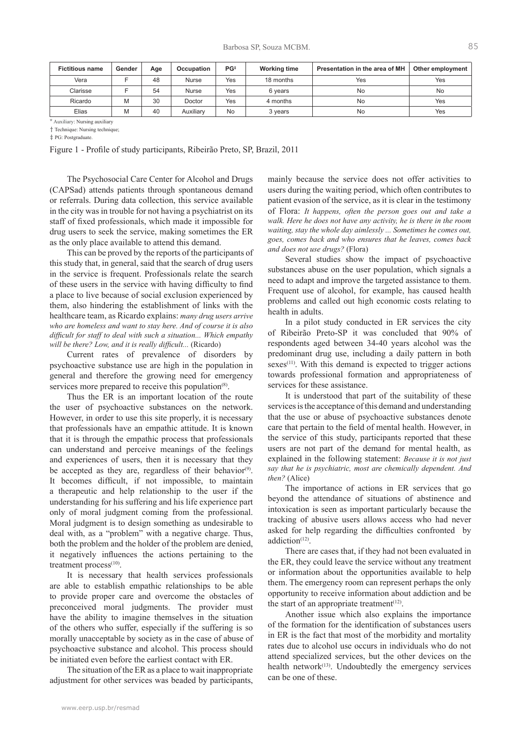| <b>Fictitious name</b>         | Gender | Age | Occupation   | PG <sup>#</sup> | <b>Working time</b> | Presentation in the area of MH | Other employment |
|--------------------------------|--------|-----|--------------|-----------------|---------------------|--------------------------------|------------------|
| Vera                           |        | 48  | <b>Nurse</b> | Yes             | 18 months           | Yes                            | Yes              |
| Clarisse                       |        | 54  | <b>Nurse</b> | Yes             | 6 years             | <b>No</b>                      | <b>No</b>        |
| Ricardo                        | M      | 30  | Doctor       | Yes             | 4 months            | No                             | Yes              |
| Elias                          | M      | 40  | Auxiliarv    | No              | 3 years             | No                             | Yes              |
| * Auxiliary: Nursing auxiliary |        |     |              |                 |                     |                                |                  |

† Technique: Nursing technique;

‡ PG: Postgraduate.

Figure 1 - Profile of study participants, Ribeirão Preto, SP, Brazil, 2011

The Psychosocial Care Center for Alcohol and Drugs (CAPSad) attends patients through spontaneous demand or referrals. During data collection, this service available in the city was in trouble for not having a psychiatrist on its staff of fixed professionals, which made it impossible for drug users to seek the service, making sometimes the ER as the only place available to attend this demand.

This can be proved by the reports of the participants of this study that, in general, said that the search of drug users in the service is frequent. Professionals relate the search of these users in the service with having difficulty to find a place to live because of social exclusion experienced by them, also hindering the establishment of links with the healthcare team, as Ricardo explains: *many drug users arrive who are homeless and want to stay here. And of course it is also difficult for staff to deal with such a situation... Which empathy will be there? Low, and it is really difficult...* (Ricardo)

Current rates of prevalence of disorders by psychoactive substance use are high in the population in general and therefore the growing need for emergency services more prepared to receive this population<sup>(8)</sup>.

Thus the ER is an important location of the route the user of psychoactive substances on the network. However, in order to use this site properly, it is necessary that professionals have an empathic attitude. It is known that it is through the empathic process that professionals can understand and perceive meanings of the feelings and experiences of users, then it is necessary that they be accepted as they are, regardless of their behavior<sup>(9)</sup>. It becomes difficult, if not impossible, to maintain a therapeutic and help relationship to the user if the understanding for his suffering and his life experience part only of moral judgment coming from the professional. Moral judgment is to design something as undesirable to deal with, as a "problem" with a negative charge. Thus, both the problem and the holder of the problem are denied, it negatively influences the actions pertaining to the treatment process $(10)$ .

It is necessary that health services professionals are able to establish empathic relationships to be able to provide proper care and overcome the obstacles of preconceived moral judgments. The provider must have the ability to imagine themselves in the situation of the others who suffer, especially if the suffering is so morally unacceptable by society as in the case of abuse of psychoactive substance and alcohol. This process should be initiated even before the earliest contact with ER.

The situation of the ER as a place to wait inappropriate adjustment for other services was beaded by participants, mainly because the service does not offer activities to users during the waiting period, which often contributes to patient evasion of the service, as it is clear in the testimony of Flora: *It happens, often the person goes out and take a walk. Here he does not have any activity, he is there in the room waiting, stay the whole day aimlessly ... Sometimes he comes out, goes, comes back and who ensures that he leaves, comes back and does not use drugs?* (Flora)

Several studies show the impact of psychoactive substances abuse on the user population, which signals a need to adapt and improve the targeted assistance to them. Frequent use of alcohol, for example, has caused health problems and called out high economic costs relating to health in adults.

In a pilot study conducted in ER services the city of Ribeirão Preto-SP it was concluded that 90% of respondents aged between 34-40 years alcohol was the predominant drug use, including a daily pattern in both  $sexes<sup>(11)</sup>$ . With this demand is expected to trigger actions towards professional formation and appropriateness of services for these assistance.

It is understood that part of the suitability of these services is the acceptance of this demand and understanding that the use or abuse of psychoactive substances denote care that pertain to the field of mental health. However, in the service of this study, participants reported that these users are not part of the demand for mental health, as explained in the following statement: *Because it is not just say that he is psychiatric, most are chemically dependent. And then?* (Alice)

The importance of actions in ER services that go beyond the attendance of situations of abstinence and intoxication is seen as important particularly because the tracking of abusive users allows access who had never asked for help regarding the difficulties confronted by addiction<sup>(12)</sup>.

There are cases that, if they had not been evaluated in the ER, they could leave the service without any treatment or information about the opportunities available to help them. The emergency room can represent perhaps the only opportunity to receive information about addiction and be the start of an appropriate treatment $(12)$ .

Another issue which also explains the importance of the formation for the identification of substances users in ER is the fact that most of the morbidity and mortality rates due to alcohol use occurs in individuals who do not attend specialized services, but the other devices on the health network $(13)$ . Undoubtedly the emergency services can be one of these.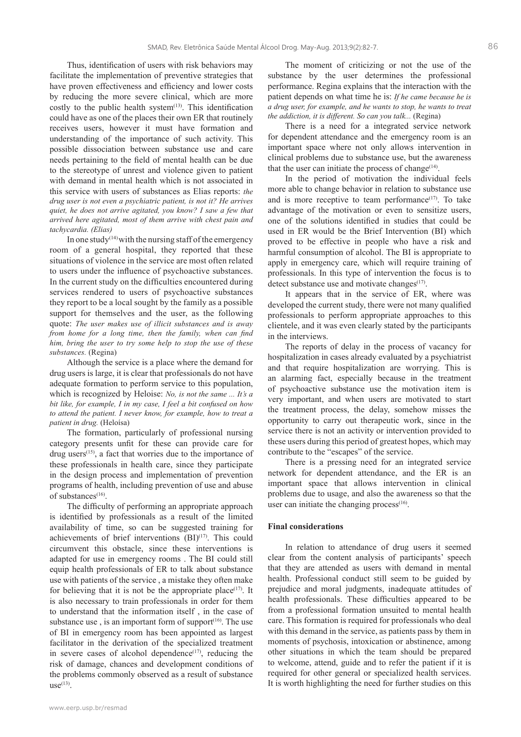Thus, identification of users with risk behaviors may facilitate the implementation of preventive strategies that have proven effectiveness and efficiency and lower costs by reducing the more severe clinical, which are more costly to the public health system $(13)$ . This identification could have as one of the places their own ER that routinely receives users, however it must have formation and understanding of the importance of such activity. This possible dissociation between substance use and care needs pertaining to the field of mental health can be due to the stereotype of unrest and violence given to patient with demand in mental health which is not associated in this service with users of substances as Elias reports: *the drug user is not even a psychiatric patient, is not it? He arrives quiet, he does not arrive agitated, you know? I saw a few that arrived here agitated, most of them arrive with chest pain and tachycardia. (Elias)*

In one study<sup>(14)</sup> with the nursing staff of the emergency room of a general hospital, they reported that these situations of violence in the service are most often related to users under the influence of psychoactive substances. In the current study on the difficulties encountered during services rendered to users of psychoactive substances they report to be a local sought by the family as a possible support for themselves and the user, as the following quote: *The user makes use of illicit substances and is away from home for a long time, then the family, when can find him, bring the user to try some help to stop the use of these substances.* (Regina)

Although the service is a place where the demand for drug users is large, it is clear that professionals do not have adequate formation to perform service to this population, which is recognized by Heloise: *No, is not the same ... It's a bit like, for example, I in my case, I feel a bit confused on how to attend the patient. I never know, for example, how to treat a patient in drug.* (Heloísa)

The formation, particularly of professional nursing category presents unfit for these can provide care for drug users $(15)$ , a fact that worries due to the importance of these professionals in health care, since they participate in the design process and implementation of prevention programs of health, including prevention of use and abuse of substances(16).

The difficulty of performing an appropriate approach is identified by professionals as a result of the limited availability of time, so can be suggested training for achievements of brief interventions  $(BI)^{(17)}$ . This could circumvent this obstacle, since these interventions is adapted for use in emergency rooms . The BI could still equip health professionals of ER to talk about substance use with patients of the service , a mistake they often make for believing that it is not be the appropriate place<sup> $(17)$ </sup>. It is also necessary to train professionals in order for them to understand that the information itself , in the case of substance use, is an important form of support $(16)$ . The use of BI in emergency room has been appointed as largest facilitator in the derivation of the specialized treatment in severe cases of alcohol dependence $(17)$ , reducing the risk of damage, chances and development conditions of the problems commonly observed as a result of substance  $use^{(13)}$ .

www.eerp.usp.br/resmad

The moment of criticizing or not the use of the substance by the user determines the professional performance. Regina explains that the interaction with the patient depends on what time he is: *If he came because he is a drug user, for example, and he wants to stop, he wants to treat the addiction, it is different. So can you talk...* (Regina)

There is a need for a integrated service network for dependent attendance and the emergency room is an important space where not only allows intervention in clinical problems due to substance use, but the awareness that the user can initiate the process of change $(14)$ .

In the period of motivation the individual feels more able to change behavior in relation to substance use and is more receptive to team performance $(17)$ . To take advantage of the motivation or even to sensitize users, one of the solutions identified in studies that could be used in ER would be the Brief Intervention (BI) which proved to be effective in people who have a risk and harmful consumption of alcohol. The BI is appropriate to apply in emergency care, which will require training of professionals. In this type of intervention the focus is to detect substance use and motivate changes<sup>(17)</sup>.

It appears that in the service of ER, where was developed the current study, there were not many qualified professionals to perform appropriate approaches to this clientele, and it was even clearly stated by the participants in the interviews.

The reports of delay in the process of vacancy for hospitalization in cases already evaluated by a psychiatrist and that require hospitalization are worrying. This is an alarming fact, especially because in the treatment of psychoactive substance use the motivation item is very important, and when users are motivated to start the treatment process, the delay, somehow misses the opportunity to carry out therapeutic work, since in the service there is not an activity or intervention provided to these users during this period of greatest hopes, which may contribute to the "escapes" of the service.

There is a pressing need for an integrated service network for dependent attendance, and the ER is an important space that allows intervention in clinical problems due to usage, and also the awareness so that the user can initiate the changing process<sup>(16)</sup>.

#### **Final considerations**

In relation to attendance of drug users it seemed clear from the content analysis of participants' speech that they are attended as users with demand in mental health. Professional conduct still seem to be guided by prejudice and moral judgments, inadequate attitudes of health professionals. These difficulties appeared to be from a professional formation unsuited to mental health care. This formation is required for professionals who deal with this demand in the service, as patients pass by them in moments of psychosis, intoxication or abstinence, among other situations in which the team should be prepared to welcome, attend, guide and to refer the patient if it is required for other general or specialized health services. It is worth highlighting the need for further studies on this